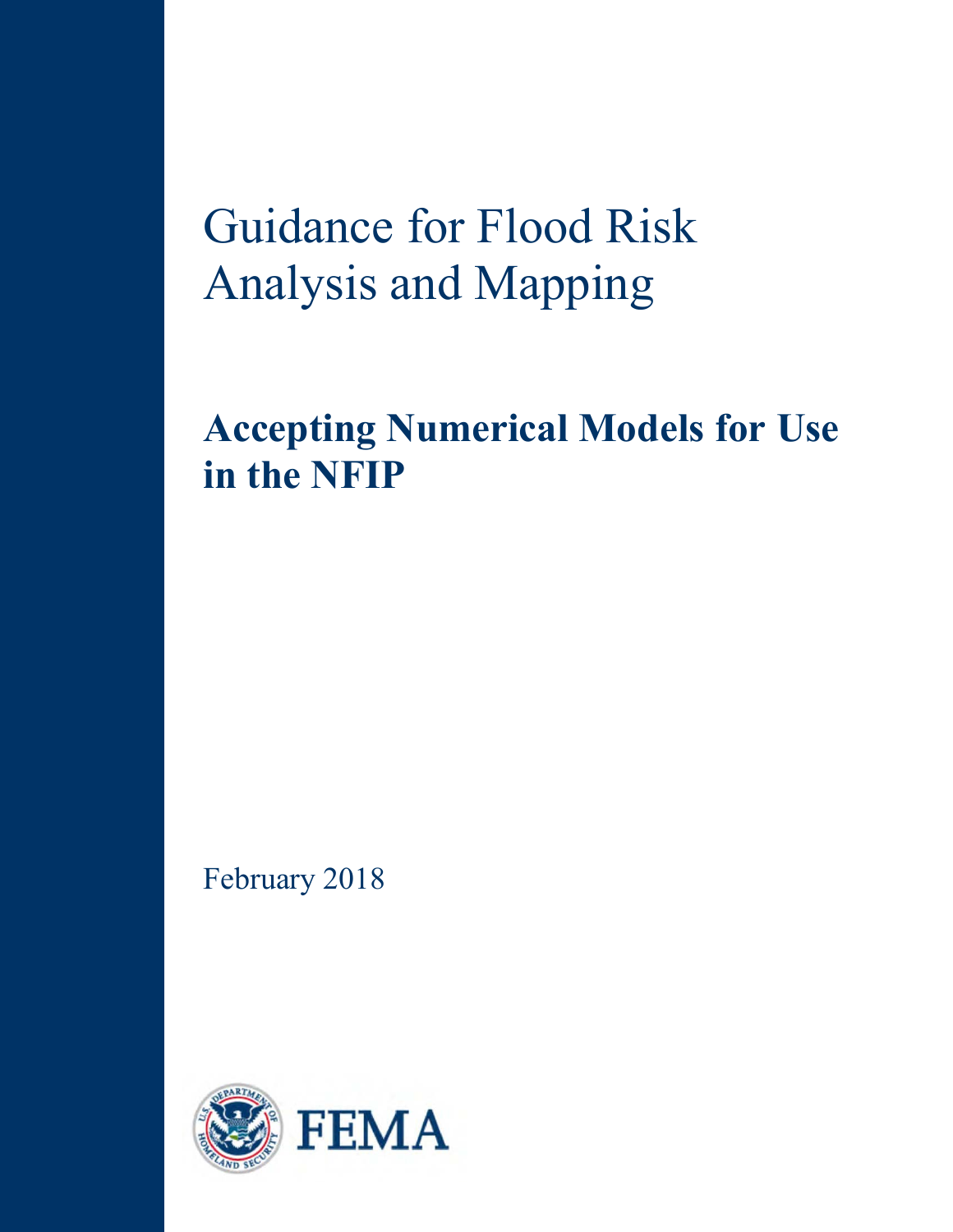# Guidance for Flood Risk Analysis and Mapping

**Accepting Numerical Models for Use in the NFIP** 

February 2018

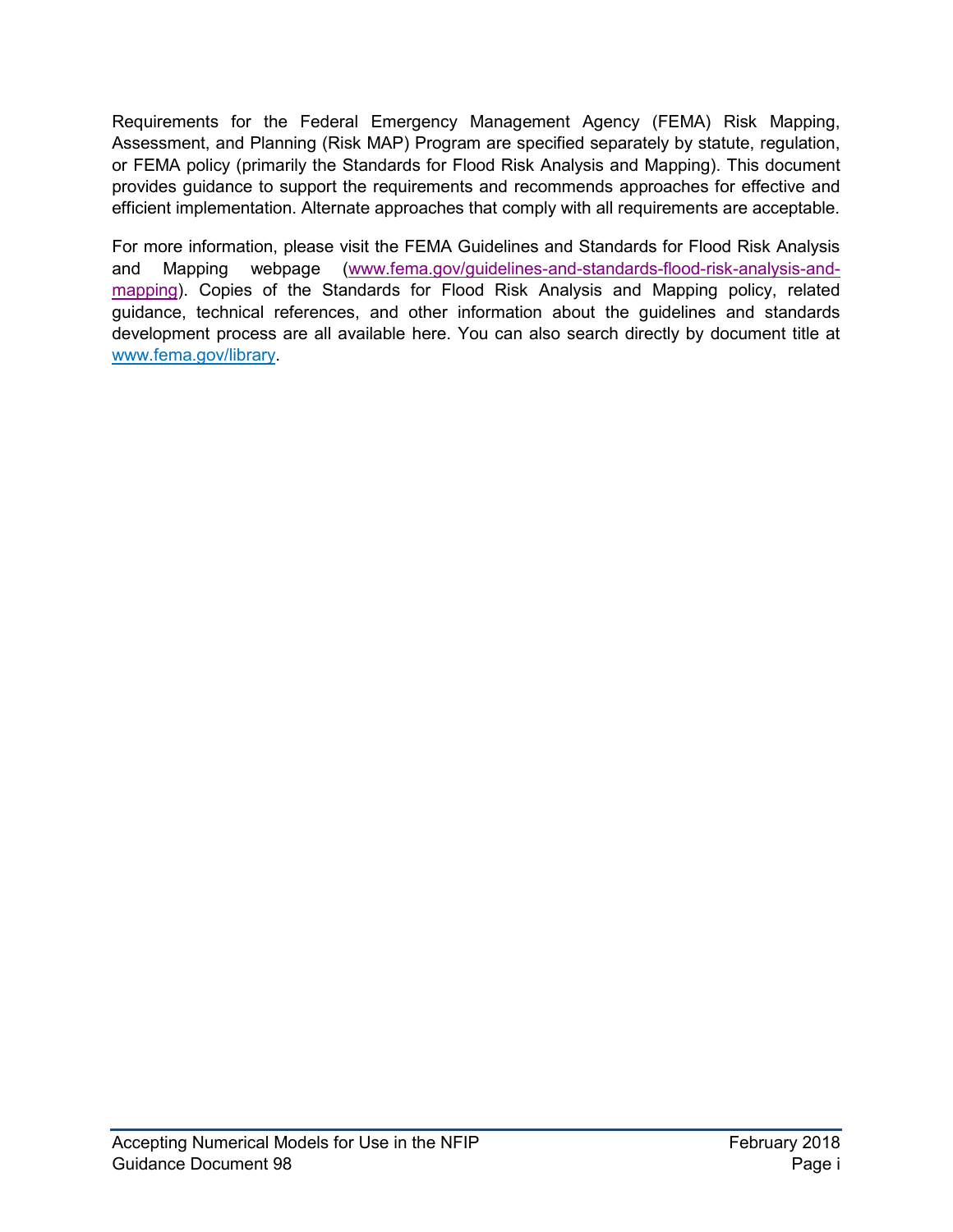Requirements for the Federal Emergency Management Agency (FEMA) Risk Mapping, Assessment, and Planning (Risk MAP) Program are specified separately by statute, regulation, or FEMA policy (primarily the Standards for Flood Risk Analysis and Mapping). This document provides guidance to support the requirements and recommends approaches for effective and efficient implementation. Alternate approaches that comply with all requirements are acceptable.

For more information, please visit the FEMA Guidelines and Standards for Flood Risk Analysis and Mapping webpage [\(www.fema.gov/guidelines-and-standards-flood-risk-analysis-and](http://www.fema.gov/guidelines-and-standards-flood-risk-analysis-and-mapping)[mapping\)](http://www.fema.gov/guidelines-and-standards-flood-risk-analysis-and-mapping). Copies of the Standards for Flood Risk Analysis and Mapping policy, related guidance, technical references, and other information about the guidelines and standards development process are all available here. You can also search directly by document title at [www.fema.gov/library.](http://www.fema.gov/library)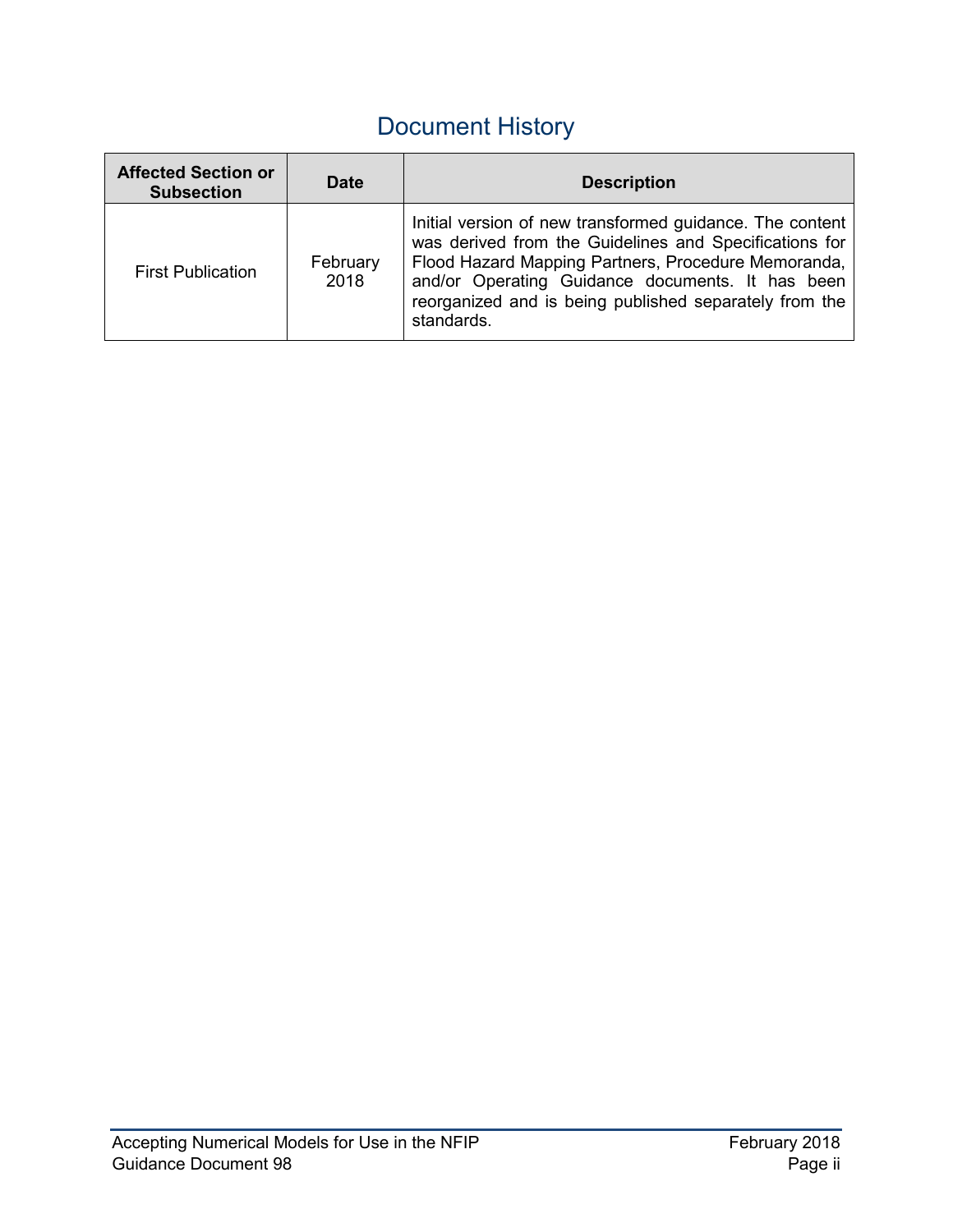# Document History

| <b>Affected Section or</b><br><b>Subsection</b> | <b>Date</b>      | <b>Description</b>                                                                                                                                                                                                                                                                                    |
|-------------------------------------------------|------------------|-------------------------------------------------------------------------------------------------------------------------------------------------------------------------------------------------------------------------------------------------------------------------------------------------------|
| <b>First Publication</b>                        | February<br>2018 | Initial version of new transformed guidance. The content<br>was derived from the Guidelines and Specifications for<br>Flood Hazard Mapping Partners, Procedure Memoranda,<br>and/or Operating Guidance documents. It has been<br>reorganized and is being published separately from the<br>standards. |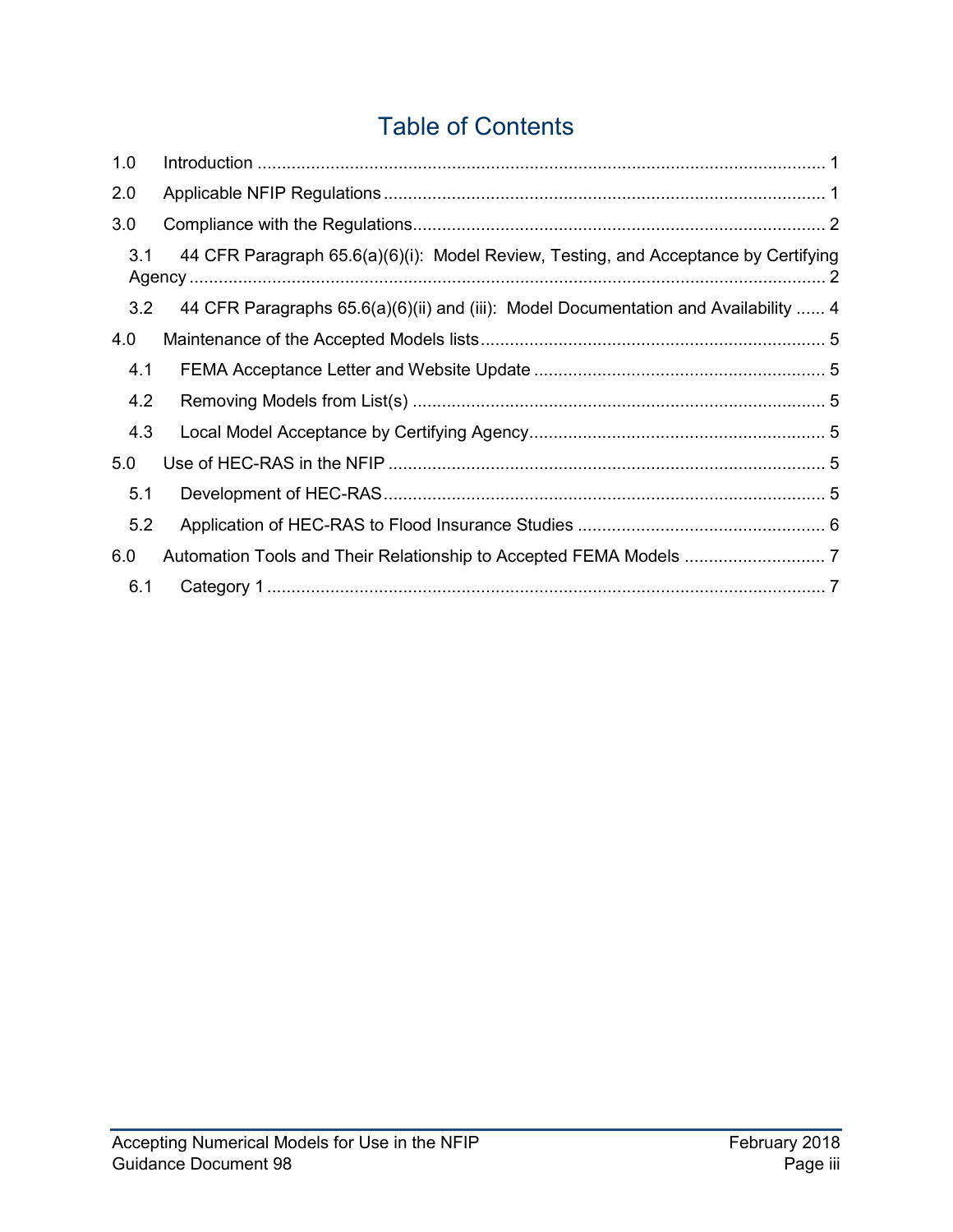## Table of Contents

| 1.0 |                                                                                     |
|-----|-------------------------------------------------------------------------------------|
| 2.0 |                                                                                     |
| 3.0 |                                                                                     |
| 3.1 | 44 CFR Paragraph 65.6(a)(6)(i): Model Review, Testing, and Acceptance by Certifying |
| 3.2 | 44 CFR Paragraphs 65.6(a)(6)(ii) and (iii): Model Documentation and Availability  4 |
| 4.0 |                                                                                     |
| 4.1 |                                                                                     |
| 4.2 |                                                                                     |
| 4.3 |                                                                                     |
| 5.0 |                                                                                     |
| 5.1 |                                                                                     |
| 5.2 |                                                                                     |
| 6.0 |                                                                                     |
| 6.1 |                                                                                     |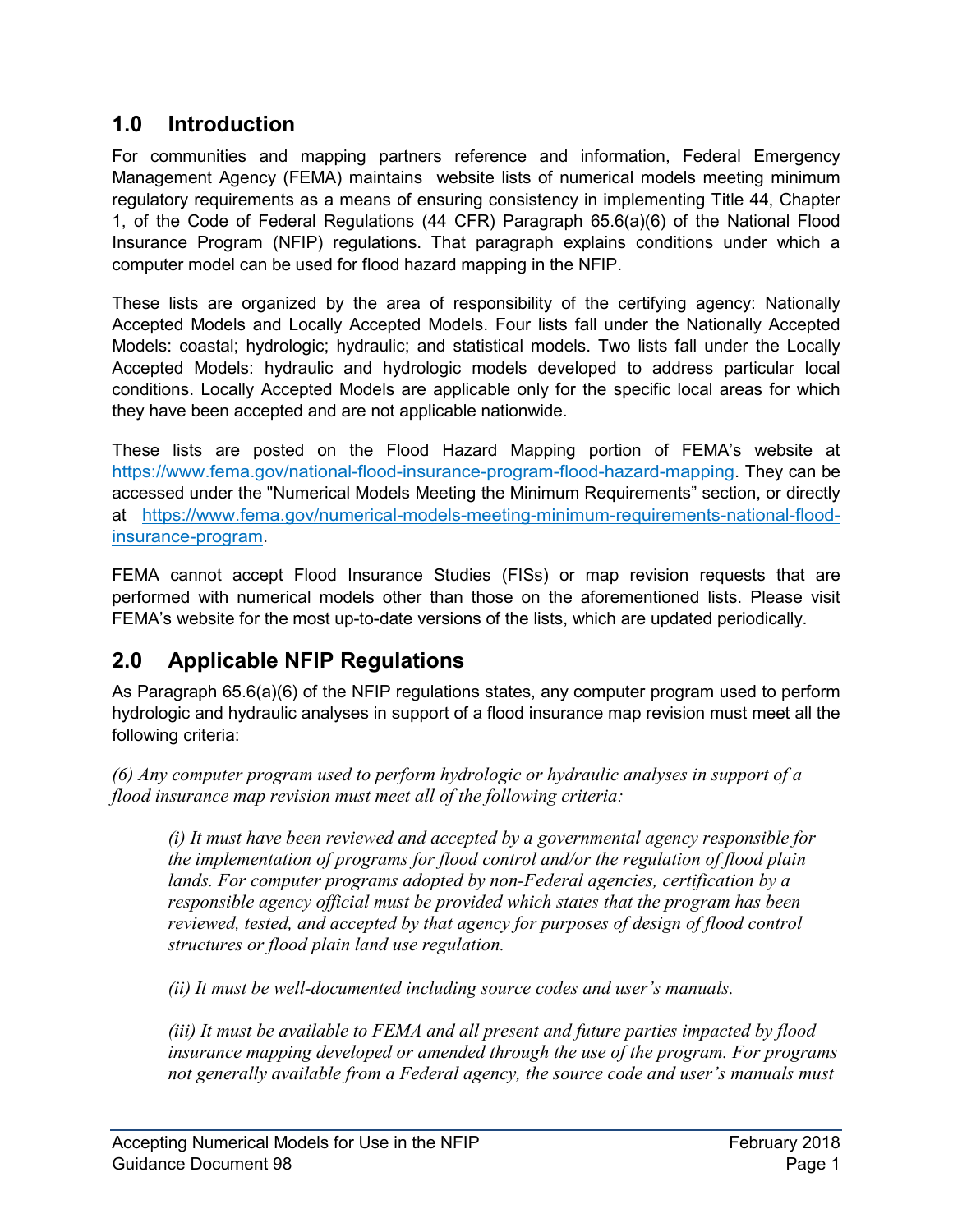## <span id="page-4-0"></span>**1.0 Introduction**

For communities and mapping partners reference and information, Federal Emergency Management Agency (FEMA) maintains website lists of numerical models meeting minimum regulatory requirements as a means of ensuring consistency in implementing Title 44, Chapter 1, of the Code of Federal Regulations (44 CFR) Paragraph 65.6(a)(6) of the National Flood Insurance Program (NFIP) regulations. That paragraph explains conditions under which a computer model can be used for flood hazard mapping in the NFIP.

These lists are organized by the area of responsibility of the certifying agency: Nationally Accepted Models and Locally Accepted Models. Four lists fall under the Nationally Accepted Models: coastal; hydrologic; hydraulic; and statistical models. Two lists fall under the Locally Accepted Models: hydraulic and hydrologic models developed to address particular local conditions. Locally Accepted Models are applicable only for the specific local areas for which they have been accepted and are not applicable nationwide.

These lists are posted on the Flood Hazard Mapping portion of FEMA's website at [https://www.fema.gov/national-flood-insurance-program-flood-hazard-mapping.](https://www.fema.gov/national-flood-insurance-program-flood-hazard-mapping) They can be accessed under the "Numerical Models Meeting the Minimum Requirements" section, or directly at [https://www.fema.gov/numerical-models-meeting-minimum-requirements-national-flood](https://www.fema.gov/numerical-models-meeting-minimum-requirements-national-flood-insurance-program)[insurance-program.](https://www.fema.gov/numerical-models-meeting-minimum-requirements-national-flood-insurance-program)

FEMA cannot accept Flood Insurance Studies (FISs) or map revision requests that are performed with numerical models other than those on the aforementioned lists. Please visit FEMA's website for the most up-to-date versions of the lists, which are updated periodically.

## **2.0 Applicable NFIP Regulations**

As Paragraph 65.6(a)(6) of the NFIP regulations states, any computer program used to perform hydrologic and hydraulic analyses in support of a flood insurance map revision must meet all the following criteria:

*(6) Any computer program used to perform hydrologic or hydraulic analyses in support of a flood insurance map revision must meet all of the following criteria:* 

*(i) It must have been reviewed and accepted by a governmental agency responsible for the implementation of programs for flood control and/or the regulation of flood plain lands. For computer programs adopted by non-Federal agencies, certification by a responsible agency official must be provided which states that the program has been reviewed, tested, and accepted by that agency for purposes of design of flood control structures or flood plain land use regulation.* 

*(ii) It must be well-documented including source codes and user's manuals.* 

*(iii) It must be available to FEMA and all present and future parties impacted by flood insurance mapping developed or amended through the use of the program. For programs not generally available from a Federal agency, the source code and user's manuals must*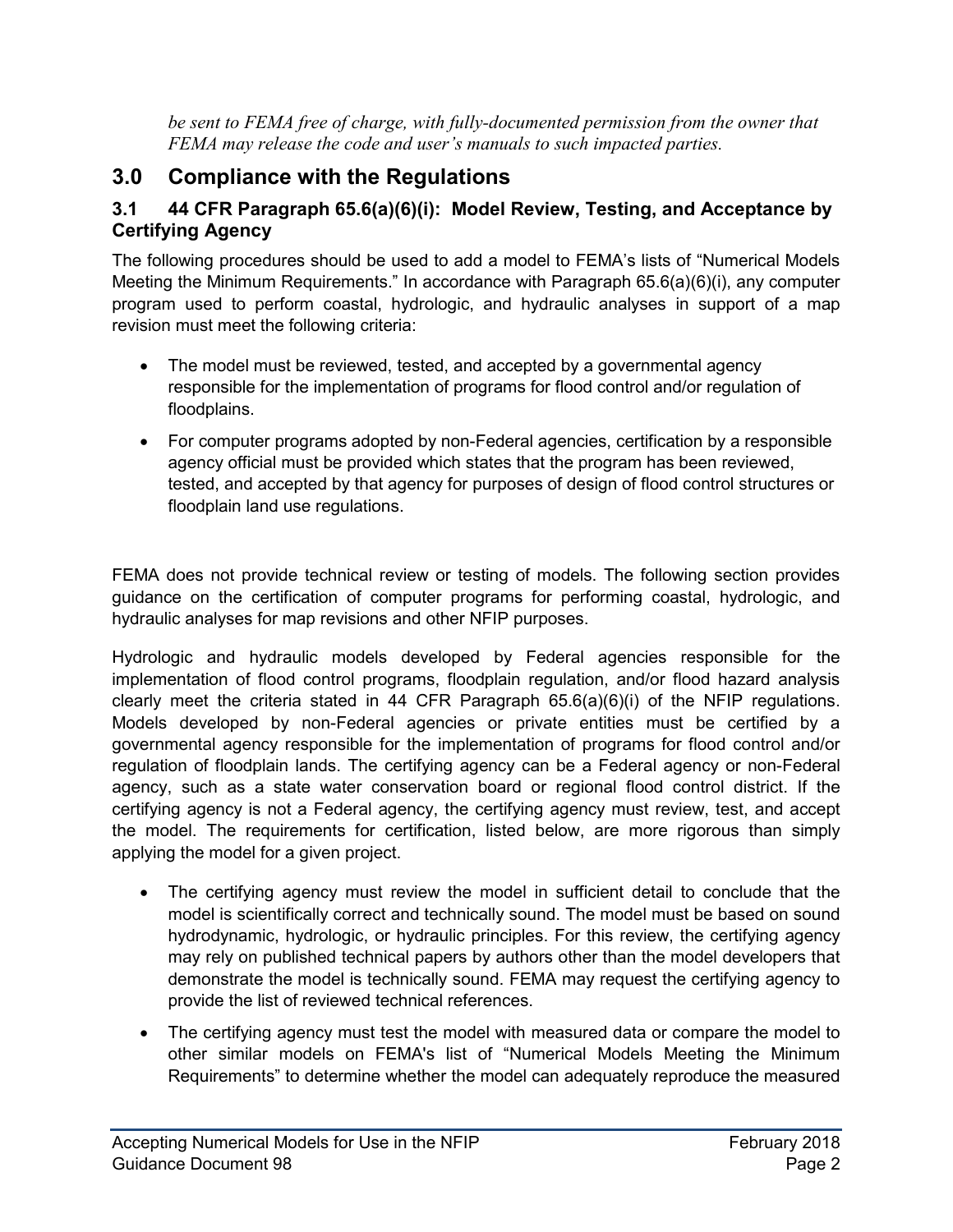*be sent to FEMA free of charge, with fully-documented permission from the owner that FEMA may release the code and user's manuals to such impacted parties.*

## <span id="page-5-0"></span>**3.0 Compliance with the Regulations**

#### **3.1 44 CFR Paragraph 65.6(a)(6)(i): Model Review, Testing, and Acceptance by Certifying Agency**

The following procedures should be used to add a model to FEMA's lists of "Numerical Models Meeting the Minimum Requirements." In accordance with Paragraph 65.6(a)(6)(i), any computer program used to perform coastal, hydrologic, and hydraulic analyses in support of a map revision must meet the following criteria:

- The model must be reviewed, tested, and accepted by a governmental agency responsible for the implementation of programs for flood control and/or regulation of floodplains.
- For computer programs adopted by non-Federal agencies, certification by a responsible agency official must be provided which states that the program has been reviewed, tested, and accepted by that agency for purposes of design of flood control structures or floodplain land use regulations.

FEMA does not provide technical review or testing of models. The following section provides guidance on the certification of computer programs for performing coastal, hydrologic, and hydraulic analyses for map revisions and other NFIP purposes.

Hydrologic and hydraulic models developed by Federal agencies responsible for the implementation of flood control programs, floodplain regulation, and/or flood hazard analysis clearly meet the criteria stated in 44 CFR Paragraph 65.6(a)(6)(i) of the NFIP regulations. Models developed by non-Federal agencies or private entities must be certified by a governmental agency responsible for the implementation of programs for flood control and/or regulation of floodplain lands. The certifying agency can be a Federal agency or non-Federal agency, such as a state water conservation board or regional flood control district. If the certifying agency is not a Federal agency, the certifying agency must review, test, and accept the model. The requirements for certification, listed below, are more rigorous than simply applying the model for a given project.

- The certifying agency must review the model in sufficient detail to conclude that the model is scientifically correct and technically sound. The model must be based on sound hydrodynamic, hydrologic, or hydraulic principles. For this review, the certifying agency may rely on published technical papers by authors other than the model developers that demonstrate the model is technically sound. FEMA may request the certifying agency to provide the list of reviewed technical references.
- The certifying agency must test the model with measured data or compare the model to other similar models on FEMA's list of "Numerical Models Meeting the Minimum Requirements" to determine whether the model can adequately reproduce the measured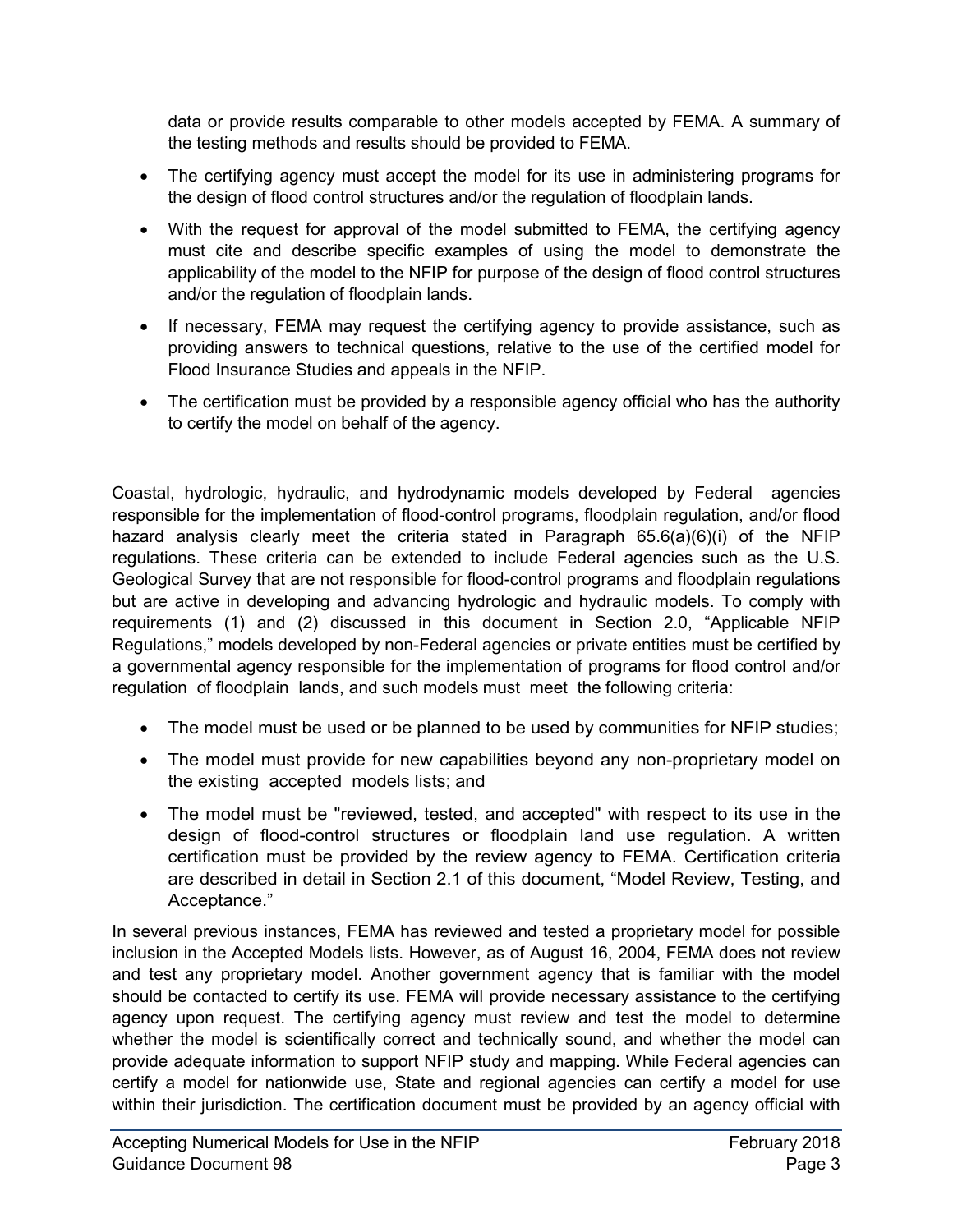data or provide results comparable to other models accepted by FEMA. A summary of the testing methods and results should be provided to FEMA.

- The certifying agency must accept the model for its use in administering programs for the design of flood control structures and/or the regulation of floodplain lands.
- With the request for approval of the model submitted to FEMA, the certifying agency must cite and describe specific examples of using the model to demonstrate the applicability of the model to the NFIP for purpose of the design of flood control structures and/or the regulation of floodplain lands.
- If necessary, FEMA may request the certifying agency to provide assistance, such as providing answers to technical questions, relative to the use of the certified model for Flood Insurance Studies and appeals in the NFIP.
- The certification must be provided by a responsible agency official who has the authority to certify the model on behalf of the agency.

Coastal, hydrologic, hydraulic, and hydrodynamic models developed by Federal agencies responsible for the implementation of flood-control programs, floodplain regulation, and/or flood hazard analysis clearly meet the criteria stated in Paragraph 65.6(a)(6)(i) of the NFIP regulations. These criteria can be extended to include Federal agencies such as the U.S. Geological Survey that are not responsible for flood-control programs and floodplain regulations but are active in developing and advancing hydrologic and hydraulic models. To comply with requirements (1) and (2) discussed in this document in Section 2.0, "Applicable NFIP Regulations," models developed by non-Federal agencies or private entities must be certified by a governmental agency responsible for the implementation of programs for flood control and/or regulation of floodplain lands, and such models must meet the following criteria:

- The model must be used or be planned to be used by communities for NFIP studies;
- The model must provide for new capabilities beyond any non-proprietary model on the existing accepted models lists; and
- The model must be "reviewed, tested, and accepted" with respect to its use in the design of flood-control structures or floodplain land use regulation. A written certification must be provided by the review agency to FEMA. Certification criteria are described in detail in Section 2.1 of this document, "Model Review, Testing, and Acceptance."

In several previous instances, FEMA has reviewed and tested a proprietary model for possible inclusion in the Accepted Models lists. However, as of August 16, 2004, FEMA does not review and test any proprietary model. Another government agency that is familiar with the model should be contacted to certify its use. FEMA will provide necessary assistance to the certifying agency upon request. The certifying agency must review and test the model to determine whether the model is scientifically correct and technically sound, and whether the model can provide adequate information to support NFIP study and mapping. While Federal agencies can certify a model for nationwide use, State and regional agencies can certify a model for use within their jurisdiction. The certification document must be provided by an agency official with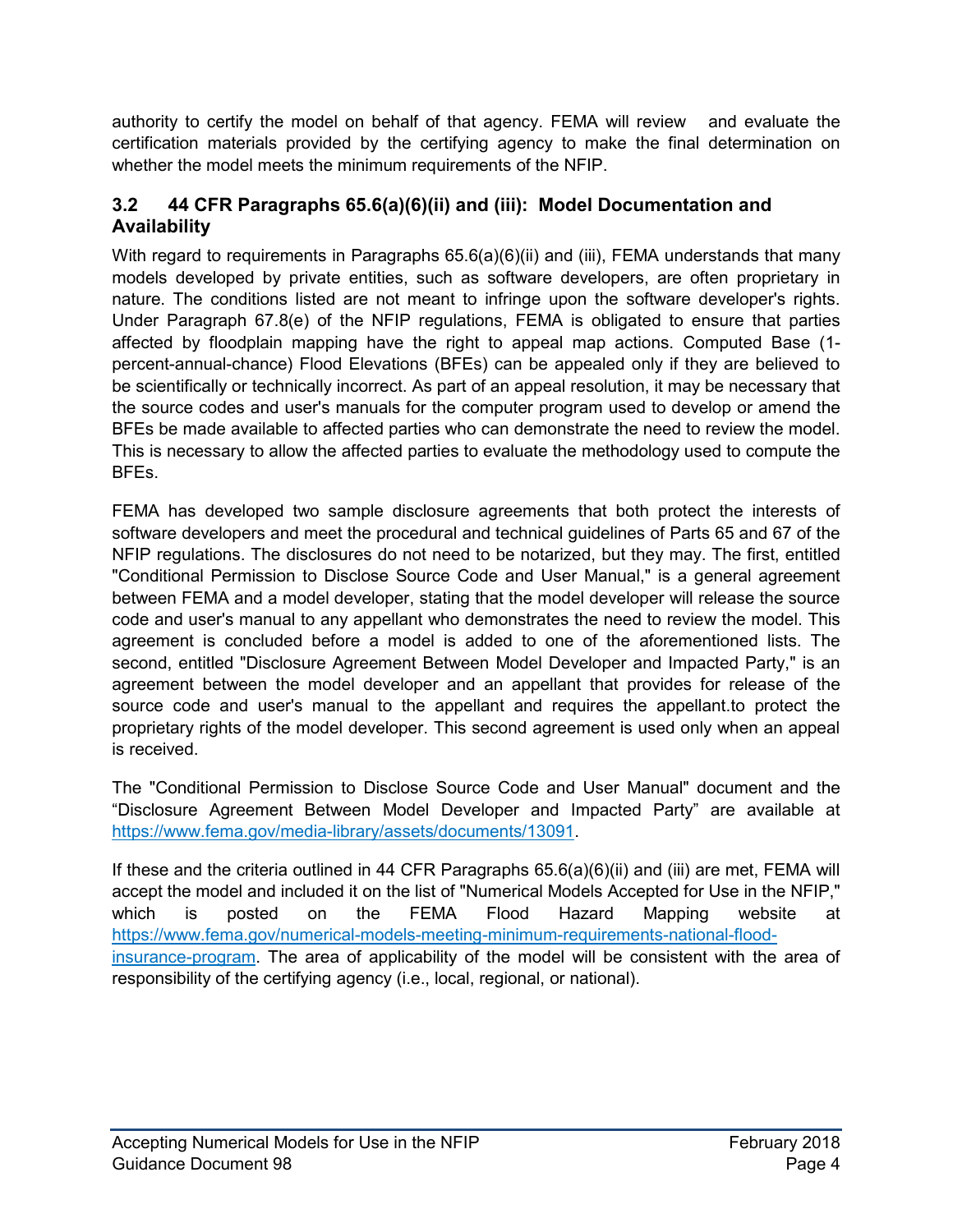<span id="page-7-0"></span>authority to certify the model on behalf of that agency. FEMA will review and evaluate the certification materials provided by the certifying agency to make the final determination on whether the model meets the minimum requirements of the NFIP.

#### **3.2 44 CFR Paragraphs 65.6(a)(6)(ii) and (iii): Model Documentation and Availability**

With regard to requirements in Paragraphs 65.6(a)(6)(ii) and (iii), FEMA understands that many models developed by private entities, such as software developers, are often proprietary in nature. The conditions listed are not meant to infringe upon the software developer's rights. Under Paragraph 67.8(e) of the NFIP regulations, FEMA is obligated to ensure that parties affected by floodplain mapping have the right to appeal map actions. Computed Base (1 percent-annual-chance) Flood Elevations (BFEs) can be appealed only if they are believed to be scientifically or technically incorrect. As part of an appeal resolution, it may be necessary that the source codes and user's manuals for the computer program used to develop or amend the BFEs be made available to affected parties who can demonstrate the need to review the model. This is necessary to allow the affected parties to evaluate the methodology used to compute the BFEs.

FEMA has developed two sample disclosure agreements that both protect the interests of software developers and meet the procedural and technical guidelines of Parts 65 and 67 of the NFIP regulations. The disclosures do not need to be notarized, but they may. The first, entitled "Conditional Permission to Disclose Source Code and User Manual," is a general agreement between FEMA and a model developer, stating that the model developer will release the source code and user's manual to any appellant who demonstrates the need to review the model. This agreement is concluded before a model is added to one of the aforementioned lists. The second, entitled "Disclosure Agreement Between Model Developer and Impacted Party," is an agreement between the model developer and an appellant that provides for release of the source code and user's manual to the appellant and requires the appellant.to protect the proprietary rights of the model developer. This second agreement is used only when an appeal is received.

The "Conditional Permission to Disclose Source Code and User Manual" document and the "Disclosure Agreement Between Model Developer and Impacted Party" are available at [https://www.fema.gov/media-library/assets/documents/13091.](https://www.fema.gov/media-library/assets/documents/13091)

If these and the criteria outlined in 44 CFR Paragraphs 65.6(a)(6)(ii) and (iii) are met, FEMA will accept the model and included it on the list of "Numerical Models Accepted for Use in the NFIP," which is posted on the FEMA Flood Hazard Mapping website at [https://www.fema.gov/numerical-models-meeting-minimum-requirements-national-flood](https://www.fema.gov/numerical-models-meeting-minimum-requirements-national-flood-insurance-program)[insurance-program.](https://www.fema.gov/numerical-models-meeting-minimum-requirements-national-flood-insurance-program) The area of applicability of the model will be consistent with the area of responsibility of the certifying agency (i.e., local, regional, or national).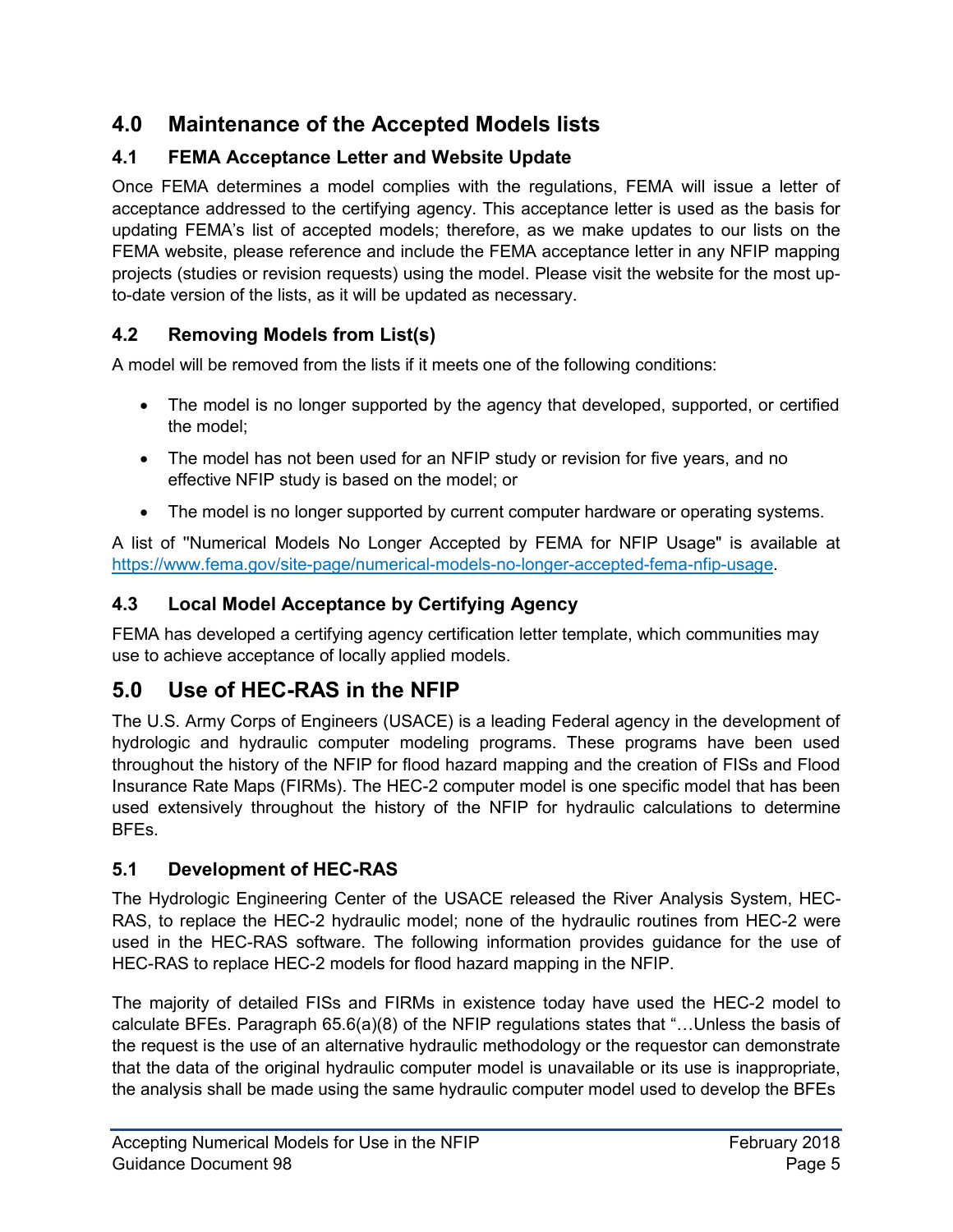## <span id="page-8-0"></span>**4.0 Maintenance of the Accepted Models lists**

## **4.1 FEMA Acceptance Letter and Website Update**

Once FEMA determines a model complies with the regulations, FEMA will issue a letter of acceptance addressed to the certifying agency. This acceptance letter is used as the basis for updating FEMA's list of accepted models; therefore, as we make updates to our lists on the FEMA website, please reference and include the FEMA acceptance letter in any NFIP mapping projects (studies or revision requests) using the model. Please visit the website for the most upto-date version of the lists, as it will be updated as necessary.

#### **4.2 Removing Models from List(s)**

A model will be removed from the lists if it meets one of the following conditions:

- The model is no longer supported by the agency that developed, supported, or certified the model;
- The model has not been used for an NFIP study or revision for five years, and no effective NFIP study is based on the model; or
- The model is no longer supported by current computer hardware or operating systems.

A list of ''Numerical Models No Longer Accepted by FEMA for NFIP Usage" is available at [https://www.fema.gov/site-page/numerical-models-no-longer-accepted-fema-nfip-usage.](https://www.fema.gov/site-page/numerical-models-no-longer-accepted-fema-nfip-usage)

## **4.3 Local Model Acceptance by Certifying Agency**

FEMA has developed a certifying agency certification letter template, which communities may use to achieve acceptance of locally applied models.

## **5.0 Use of HEC-RAS in the NFIP**

The U.S. Army Corps of Engineers (USACE) is a leading Federal agency in the development of hydrologic and hydraulic computer modeling programs. These programs have been used throughout the history of the NFIP for flood hazard mapping and the creation of FISs and Flood Insurance Rate Maps (FIRMs). The HEC-2 computer model is one specific model that has been used extensively throughout the history of the NFIP for hydraulic calculations to determine BFEs.

#### **5.1 Development of HEC-RAS**

The Hydrologic Engineering Center of the USACE released the River Analysis System, HEC-RAS, to replace the HEC-2 hydraulic model; none of the hydraulic routines from HEC-2 were used in the HEC-RAS software. The following information provides guidance for the use of HEC-RAS to replace HEC-2 models for flood hazard mapping in the NFIP.

The majority of detailed FISs and FIRMs in existence today have used the HEC-2 model to calculate BFEs. Paragraph 65.6(a)(8) of the NFIP regulations states that "…Unless the basis of the request is the use of an alternative hydraulic methodology or the requestor can demonstrate that the data of the original hydraulic computer model is unavailable or its use is inappropriate, the analysis shall be made using the same hydraulic computer model used to develop the BFEs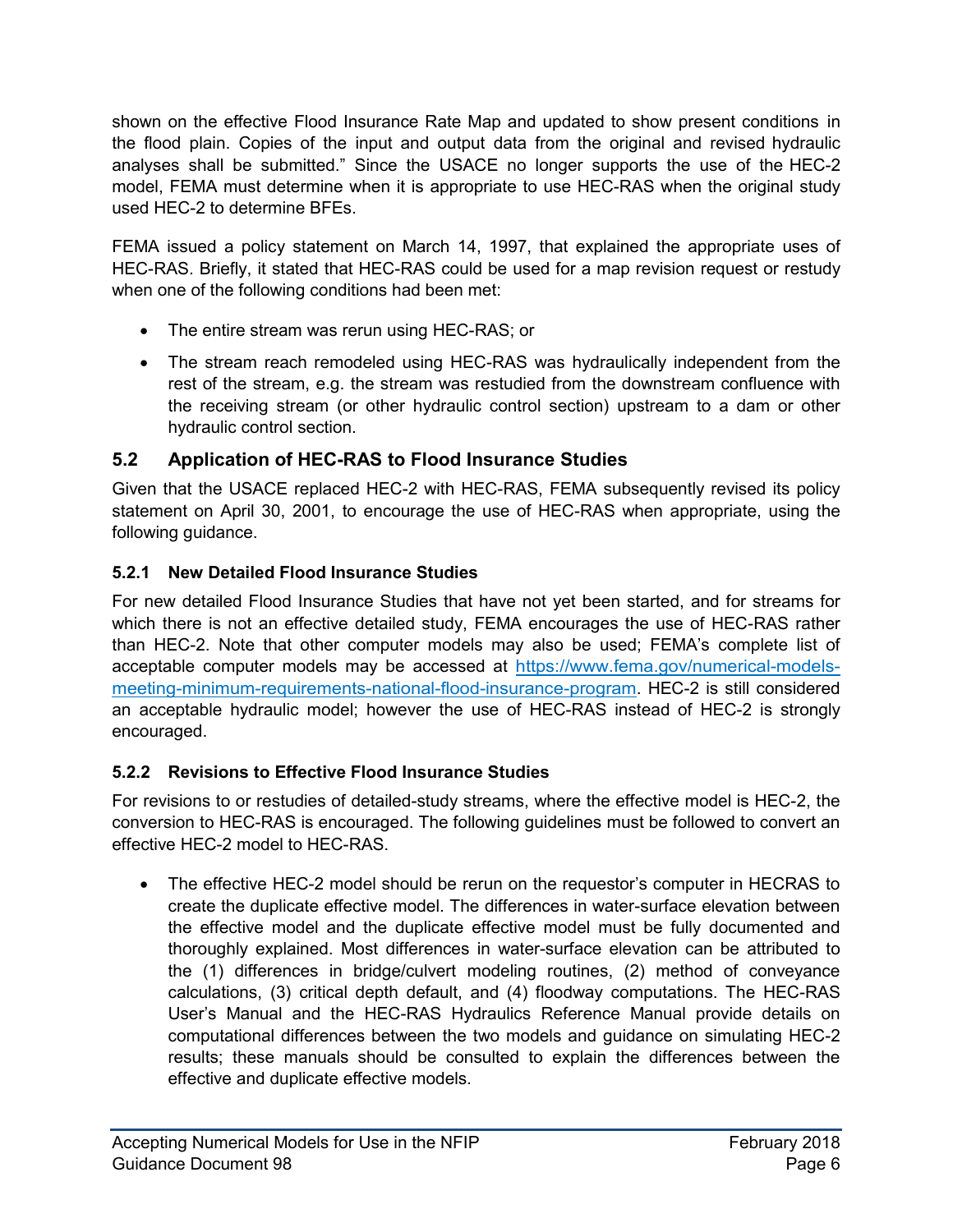<span id="page-9-0"></span>shown on the effective Flood Insurance Rate Map and updated to show present conditions in the flood plain. Copies of the input and output data from the original and revised hydraulic analyses shall be submitted." Since the USACE no longer supports the use of the HEC-2 model, FEMA must determine when it is appropriate to use HEC-RAS when the original study used HEC-2 to determine BFEs.

FEMA issued a policy statement on March 14, 1997, that explained the appropriate uses of HEC-RAS. Briefly, it stated that HEC-RAS could be used for a map revision request or restudy when one of the following conditions had been met:

- The entire stream was rerun using HEC-RAS; or
- The stream reach remodeled using HEC-RAS was hydraulically independent from the rest of the stream, e.g. the stream was restudied from the downstream confluence with the receiving stream (or other hydraulic control section) upstream to a dam or other hydraulic control section.

#### **5.2 Application of HEC-RAS to Flood Insurance Studies**

Given that the USACE replaced HEC-2 with HEC-RAS, FEMA subsequently revised its policy statement on April 30, 2001, to encourage the use of HEC-RAS when appropriate, using the following guidance.

#### **5.2.1 New Detailed Flood Insurance Studies**

For new detailed Flood Insurance Studies that have not yet been started, and for streams for which there is not an effective detailed study, FEMA encourages the use of HEC-RAS rather than HEC-2. Note that other computer models may also be used; FEMA's complete list of acceptable computer models may be accessed at [https://www.fema.gov/numerical-models](https://www.fema.gov/numerical-models-meeting-minimum-requirements-national-flood-insurance-program)[meeting-minimum-requirements-national-flood-insurance-program.](https://www.fema.gov/numerical-models-meeting-minimum-requirements-national-flood-insurance-program) HEC-2 is still considered an acceptable hydraulic model; however the use of HEC-RAS instead of HEC-2 is strongly encouraged.

#### **5.2.2 Revisions to Effective Flood Insurance Studies**

For revisions to or restudies of detailed-study streams, where the effective model is HEC-2, the conversion to HEC-RAS is encouraged. The following guidelines must be followed to convert an effective HEC-2 model to HEC-RAS.

• The effective HEC-2 model should be rerun on the requestor's computer in HECRAS to create the duplicate effective model. The differences in water-surface elevation between the effective model and the duplicate effective model must be fully documented and thoroughly explained. Most differences in water-surface elevation can be attributed to the (1) differences in bridge/culvert modeling routines, (2) method of conveyance calculations, (3) critical depth default, and (4) floodway computations. The HEC-RAS User's Manual and the HEC-RAS Hydraulics Reference Manual provide details on computational differences between the two models and guidance on simulating HEC-2 results; these manuals should be consulted to explain the differences between the effective and duplicate effective models.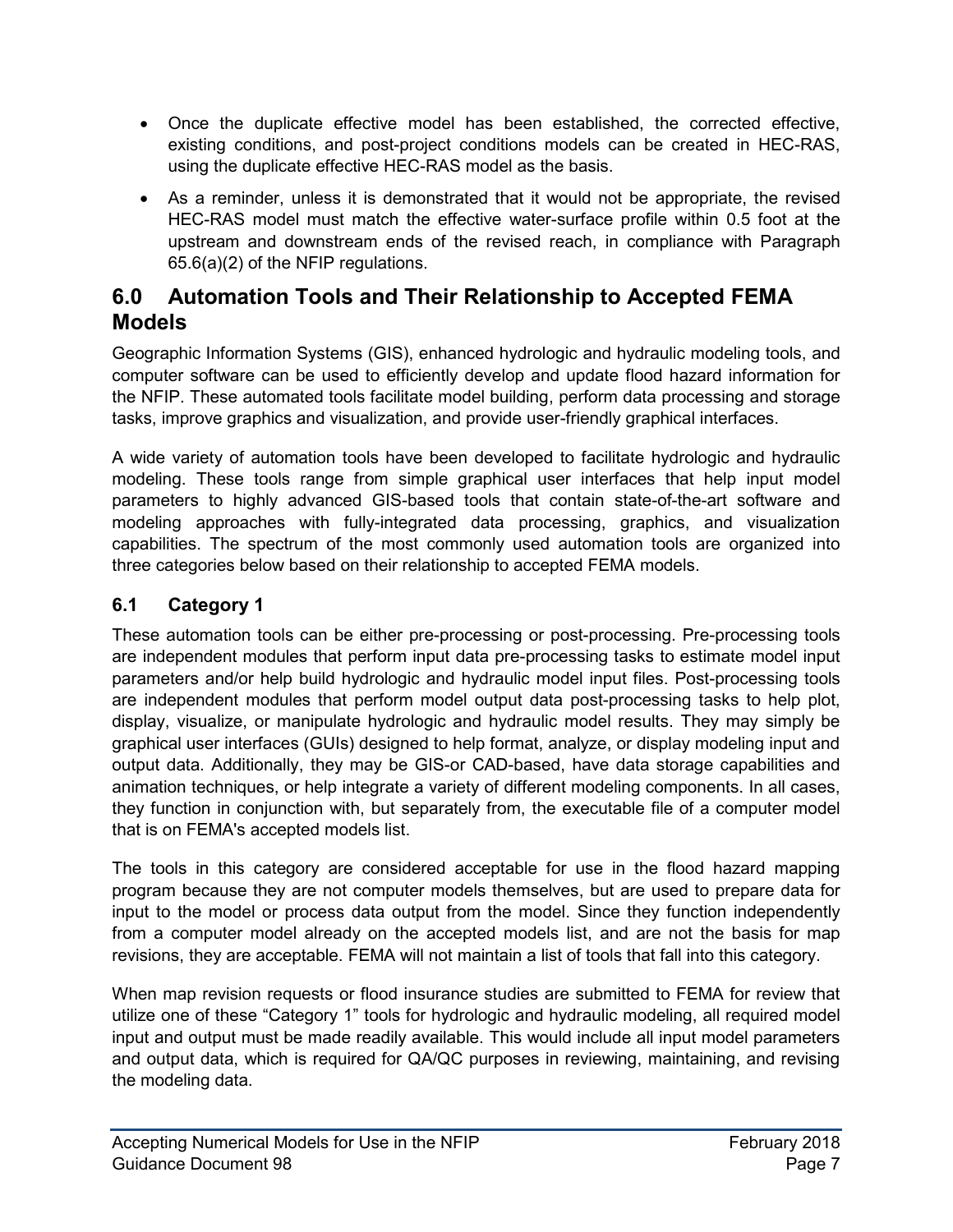- <span id="page-10-0"></span>• Once the duplicate effective model has been established, the corrected effective, existing conditions, and post-project conditions models can be created in HEC-RAS, using the duplicate effective HEC-RAS model as the basis.
- As a reminder, unless it is demonstrated that it would not be appropriate, the revised HEC-RAS model must match the effective water-surface profile within 0.5 foot at the upstream and downstream ends of the revised reach, in compliance with Paragraph 65.6(a)(2) of the NFIP regulations.

## **6.0 Automation Tools and Their Relationship to Accepted FEMA Models**

Geographic Information Systems (GIS), enhanced hydrologic and hydraulic modeling tools, and computer software can be used to efficiently develop and update flood hazard information for the NFIP. These automated tools facilitate model building, perform data processing and storage tasks, improve graphics and visualization, and provide user-friendly graphical interfaces.

A wide variety of automation tools have been developed to facilitate hydrologic and hydraulic modeling. These tools range from simple graphical user interfaces that help input model parameters to highly advanced GIS-based tools that contain state-of-the-art software and modeling approaches with fully-integrated data processing, graphics, and visualization capabilities. The spectrum of the most commonly used automation tools are organized into three categories below based on their relationship to accepted FEMA models.

#### **6.1 Category 1**

These automation tools can be either pre-processing or post-processing. Pre-processing tools are independent modules that perform input data pre-processing tasks to estimate model input parameters and/or help build hydrologic and hydraulic model input files. Post-processing tools are independent modules that perform model output data post-processing tasks to help plot, display, visualize, or manipulate hydrologic and hydraulic model results. They may simply be graphical user interfaces (GUIs) designed to help format, analyze, or display modeling input and output data. Additionally, they may be GIS-or CAD-based, have data storage capabilities and animation techniques, or help integrate a variety of different modeling components. In all cases, they function in conjunction with, but separately from, the executable file of a computer model that is on FEMA's accepted models list.

The tools in this category are considered acceptable for use in the flood hazard mapping program because they are not computer models themselves, but are used to prepare data for input to the model or process data output from the model. Since they function independently from a computer model already on the accepted models list, and are not the basis for map revisions, they are acceptable. FEMA will not maintain a list of tools that fall into this category.

When map revision requests or flood insurance studies are submitted to FEMA for review that utilize one of these "Category 1" tools for hydrologic and hydraulic modeling, all required model input and output must be made readily available. This would include all input model parameters and output data, which is required for QA/QC purposes in reviewing, maintaining, and revising the modeling data.